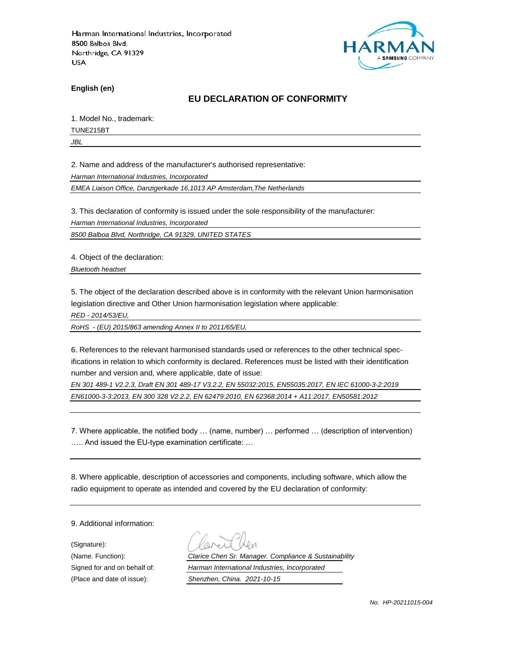

**English (en)**

### **EU DECLARATION OF CONFORMITY**

1. Model No., trademark:

TUNE215BT

*JBL*

2. Name and address of the manufacturer's authorised representative:

*Harman International Industries, Incorporated*

*EMEA Liaison Office, Danzigerkade 16,1013 AP Amsterdam,The Netherlands*

3. This declaration of conformity is issued under the sole responsibility of the manufacturer:

*Harman International Industries, Incorporated*

*8500 Balboa Blvd, Northridge, CA 91329, UNITED STATES*

4. Object of the declaration:

*Bluetooth headset*

5. The object of the declaration described above is in conformity with the relevant Union harmonisation legislation directive and Other Union harmonisation legislation where applicable:

*RED - 2014/53/EU,*

*RoHS - (EU) 2015/863 amending Annex II to 2011/65/EU,*

6. References to the relevant harmonised standards used or references to the other technical specifications in relation to which conformity is declared. References must be listed with their identification number and version and, where applicable, date of issue:

*EN 301 489-1 V2.2.3, Draft EN 301 489-17 V3.2.2, EN 55032:2015, EN55035:2017, EN IEC 61000-3-2:2019 EN61000-3-3:2013, EN 300 328 V2.2.2, EN 62479:2010, EN 62368:2014 + A11:2017, EN50581:2012* 

7. Where applicable, the notified body … (name, number) … performed … (description of intervention) ….. And issued the EU-type examination certificate: …

8. Where applicable, description of accessories and components, including software, which allow the radio equipment to operate as intended and covered by the EU declaration of conformity:

9. Additional information:

(Signature): (Place and date of issue): *Shenzhen, China. 2021-10-15*

(Name. Function): *Clarice Chen Sr. Manager. Compliance & Sustainability* Signed for and on behalf of: *Harman International Industries, Incorporated*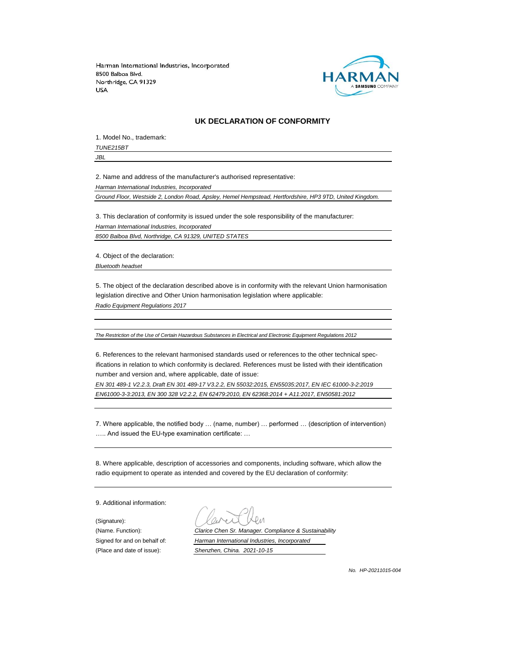

#### **UK DECLARATION OF CONFORMITY**

1. Model No., trademark: *TUNE215BT*

*JBL*

2. Name and address of the manufacturer's authorised representative:

*Harman International Industries, Incorporated*

*Ground Floor, Westside 2, London Road, Apsley, Hemel Hempstead, Hertfordshire, HP3 9TD, United Kingdom.*

3. This declaration of conformity is issued under the sole responsibility of the manufacturer: *Harman International Industries, Incorporated 8500 Balboa Blvd, Northridge, CA 91329, UNITED STATES*

4. Object of the declaration:

*Bluetooth headset*

5. The object of the declaration described above is in conformity with the relevant Union harmonisation legislation directive and Other Union harmonisation legislation where applicable:

*Radio Equipment Regulations 2017*

*The Restriction of the Use of Certain Hazardous Substances in Electrical and Electronic Equipment Regulations 2012*

6. References to the relevant harmonised standards used or references to the other technical specifications in relation to which conformity is declared. References must be listed with their identification number and version and, where applicable, date of issue:

*EN 301 489-1 V2.2.3, Draft EN 301 489-17 V3.2.2, EN 55032:2015, EN55035:2017, EN IEC 61000-3-2:2019 EN61000-3-3:2013, EN 300 328 V2.2.2, EN 62479:2010, EN 62368:2014 + A11:2017, EN50581:2012* 

7. Where applicable, the notified body … (name, number) … performed … (description of intervention) ….. And issued the EU-type examination certificate: …

8. Where applicable, description of accessories and components, including software, which allow the radio equipment to operate as intended and covered by the EU declaration of conformity:

9. Additional information:

(Signature):

(Name. Function): *Clarice Chen Sr. Manager. Compliance & Sustainability* Signed for and on behalf of: *Harman International Industries, Incorporated* (Place and date of issue): *Shenzhen, China. 2021-10-15*

*No. HP-20211015-004*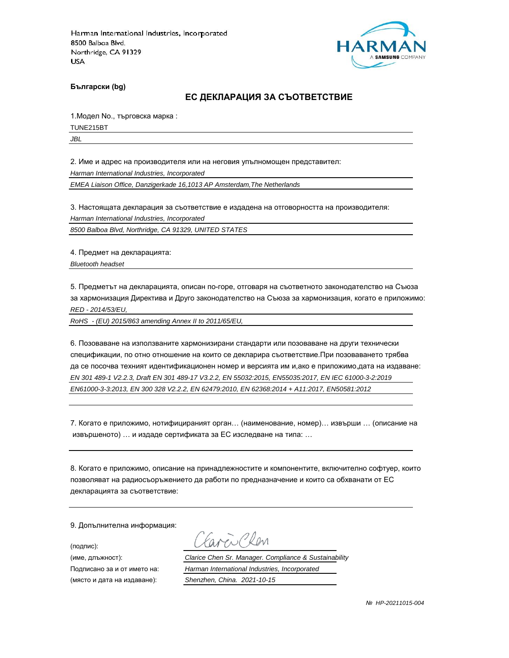

**Български (bg)**

#### **ЕС ДЕКЛАРАЦИЯ ЗА СЪОТВЕТСТВИЕ**

1.Модел No., търговска марка :

TUNE215BT

*JBL*

2. Име и адрес на производителя или на неговия упълномощен представител:

*Harman International Industries, Incorporated*

*EMEA Liaison Office, Danzigerkade 16,1013 AP Amsterdam,The Netherlands*

3. Настоящата декларация за съответствие е издадена на отговорността на производителя:

*Harman International Industries, Incorporated*

*8500 Balboa Blvd, Northridge, CA 91329, UNITED STATES*

4. Предмет на декларацията:

*Bluetooth headset*

5. Предметът на декларацията, описан по-горе, отговаря на съответното законодателство на Съюза за хармонизация Директива и Друго законодателство на Съюза за хармонизация, когато е приложимо: *RED - 2014/53/EU,*

*RoHS - (EU) 2015/863 amending Annex II to 2011/65/EU,*

6. Позоваване на използваните хармонизирани стандарти или позоваване на други технически спецификации, по отно отношение на които се декларира съответствие.При позоваването трябва да се посочва техният идентификационен номер и версията им и,ако е приложимо,дата на издаване: *EN 301 489-1 V2.2.3, Draft EN 301 489-17 V3.2.2, EN 55032:2015, EN55035:2017, EN IEC 61000-3-2:2019 EN61000-3-3:2013, EN 300 328 V2.2.2, EN 62479:2010, EN 62368:2014 + A11:2017, EN50581:2012* 

7. Когато е приложимо, нотифицираният орган… (наименование, номер)… извърши … (описание на извършеното) … и издаде сертификата за ЕС изследване на типа: …

8. Когато е приложимо, описание на принадлежностите и компонентите, включително софтуер, които позволяват на радиосъоръжението да работи по предназначение и които са обхванати от ЕС декларацията за съответствие:

9. Допълнителна информация:

(подпис):

(място и дата на издаване): *Shenzhen, China. 2021-10-15*

aren Chen

(име, длъжност): *Clarice Chen Sr. Manager. Compliance & Sustainability*

Подписано за и от името на: *Harman International Industries, Incorporated*

 *№ HP-20211015-004*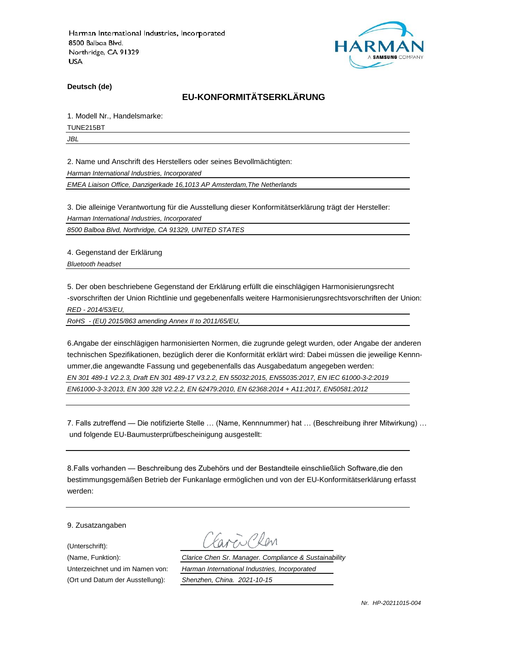

**Deutsch (de)**

# **EU-KONFORMITÄTSERKLÄRUNG**

1. Modell Nr., Handelsmarke:

TUNE215BT

*JBL*

2. Name und Anschrift des Herstellers oder seines Bevollmächtigten:

*Harman International Industries, Incorporated*

*EMEA Liaison Office, Danzigerkade 16,1013 AP Amsterdam,The Netherlands*

3. Die alleinige Verantwortung für die Ausstellung dieser Konformitätserklärung trägt der Hersteller:

*Harman International Industries, Incorporated*

*8500 Balboa Blvd, Northridge, CA 91329, UNITED STATES*

4. Gegenstand der Erklärung

*Bluetooth headset*

5. Der oben beschriebene Gegenstand der Erklärung erfüllt die einschlägigen Harmonisierungsrecht -svorschriften der Union Richtlinie und gegebenenfalls weitere Harmonisierungsrechtsvorschriften der Union: *RED - 2014/53/EU,*

*RoHS - (EU) 2015/863 amending Annex II to 2011/65/EU,*

6.Angabe der einschlägigen harmonisierten Normen, die zugrunde gelegt wurden, oder Angabe der anderen technischen Spezifikationen, bezüglich derer die Konformität erklärt wird: Dabei müssen die jeweilige Kennnummer,die angewandte Fassung und gegebenenfalls das Ausgabedatum angegeben werden: *EN 301 489-1 V2.2.3, Draft EN 301 489-17 V3.2.2, EN 55032:2015, EN55035:2017, EN IEC 61000-3-2:2019 EN61000-3-3:2013, EN 300 328 V2.2.2, EN 62479:2010, EN 62368:2014 + A11:2017, EN50581:2012* 

7. Falls zutreffend — Die notifizierte Stelle … (Name, Kennnummer) hat … (Beschreibung ihrer Mitwirkung) … und folgende EU-Baumusterprüfbescheinigung ausgestellt:

8.Falls vorhanden — Beschreibung des Zubehörs und der Bestandteile einschließlich Software,die den bestimmungsgemäßen Betrieb der Funkanlage ermöglichen und von der EU-Konformitätserklärung erfasst werden:

9. Zusatzangaben

(Unterschrift):

(Name, Funktion): *Clarice Chen Sr. Manager. Compliance & Sustainability* Unterzeichnet und im Namen von: *Harman International Industries, Incorporated* (Ort und Datum der Ausstellung): *Shenzhen, China. 2021-10-15*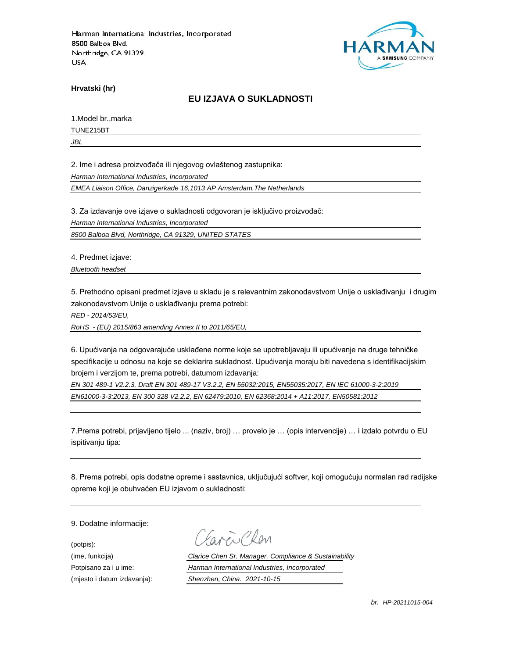

**Hrvatski (hr)**

### **EU IZJAVA O SUKLADNOSTI**

1.Model br.,marka

TUNE215BT

*JBL*

2. Ime i adresa proizvođača ili njegovog ovlaštenog zastupnika:

*Harman International Industries, Incorporated*

*EMEA Liaison Office, Danzigerkade 16,1013 AP Amsterdam,The Netherlands*

3. Za izdavanje ove izjave o sukladnosti odgovoran je isključivo proizvođač:

*Harman International Industries, Incorporated*

*8500 Balboa Blvd, Northridge, CA 91329, UNITED STATES*

4. Predmet izjave:

*Bluetooth headset*

5. Prethodno opisani predmet izjave u skladu je s relevantnim zakonodavstvom Unije o usklađivanju i drugim zakonodavstvom Unije o usklađivanju prema potrebi:

*RED - 2014/53/EU,*

*RoHS - (EU) 2015/863 amending Annex II to 2011/65/EU,*

6. Upućivanja na odgovarajuće usklađene norme koje se upotrebljavaju ili upućivanje na druge tehničke specifikacije u odnosu na koje se deklarira sukladnost. Upućivanja moraju biti navedena s identifikacijskim brojem i verzijom te, prema potrebi, datumom izdavanja:

*EN 301 489-1 V2.2.3, Draft EN 301 489-17 V3.2.2, EN 55032:2015, EN55035:2017, EN IEC 61000-3-2:2019 EN61000-3-3:2013, EN 300 328 V2.2.2, EN 62479:2010, EN 62368:2014 + A11:2017, EN50581:2012* 

7.Prema potrebi, prijavljeno tijelo ... (naziv, broj) … provelo je … (opis intervencije) … i izdalo potvrdu o EU ispitivanju tipa:

8. Prema potrebi, opis dodatne opreme i sastavnica, uključujući softver, koji omogućuju normalan rad radijske opreme koji je obuhvaćen EU izjavom o sukladnosti:

9. Dodatne informacije:

(potpis):

(ime, funkcija) *Clarice Chen Sr. Manager. Compliance & Sustainability* Potpisano za i u ime: *Harman International Industries, Incorporated* (mjesto i datum izdavanja): *Shenzhen, China. 2021-10-15*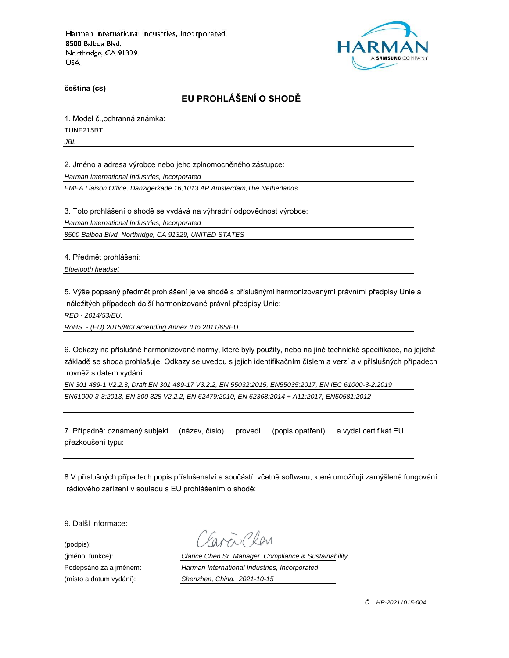

**čeština (cs)**

# **EU PROHLÁŠENÍ O SHODĚ**

1. Model č.,ochranná známka:

TUNE215BT

*JBL*

2. Jméno a adresa výrobce nebo jeho zplnomocněného zástupce:

*Harman International Industries, Incorporated*

*EMEA Liaison Office, Danzigerkade 16,1013 AP Amsterdam,The Netherlands*

3. Toto prohlášení o shodě se vydává na výhradní odpovědnost výrobce:

*Harman International Industries, Incorporated*

*8500 Balboa Blvd, Northridge, CA 91329, UNITED STATES*

4. Předmět prohlášení:

*Bluetooth headset*

5. Výše popsaný předmět prohlášení je ve shodě s příslušnými harmonizovanými právními předpisy Unie a náležitých případech další harmonizované právní předpisy Unie:

*RED - 2014/53/EU,*

*RoHS - (EU) 2015/863 amending Annex II to 2011/65/EU,*

6. Odkazy na příslušné harmonizované normy, které byly použity, nebo na jiné technické specifikace, na jejichž základě se shoda prohlašuje. Odkazy se uvedou s jejich identifikačním číslem a verzí a v příslušných případech rovněž s datem vydání:

*EN 301 489-1 V2.2.3, Draft EN 301 489-17 V3.2.2, EN 55032:2015, EN55035:2017, EN IEC 61000-3-2:2019 EN61000-3-3:2013, EN 300 328 V2.2.2, EN 62479:2010, EN 62368:2014 + A11:2017, EN50581:2012* 

7. Případně: oznámený subjekt ... (název, číslo) … provedl … (popis opatření) … a vydal certifikát EU přezkoušení typu:

8.V příslušných případech popis příslušenství a součástí, včetně softwaru, které umožňují zamýšlené fungování rádiového zařízení v souladu s EU prohlášením o shodě:

9. Další informace:

(podpis):

(jméno, funkce): *Clarice Chen Sr. Manager. Compliance & Sustainability* Podepsáno za a jménem: *Harman International Industries, Incorporated* (místo a datum vydání): *Shenzhen, China. 2021-10-15*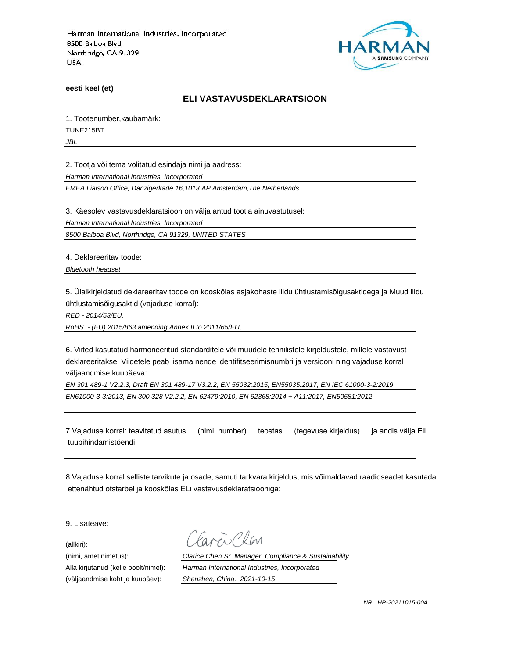

**eesti keel (et)**

### **ELI VASTAVUSDEKLARATSIOON**

1. Tootenumber,kaubamärk:

TUNE215BT

*JBL*

2. Tootja või tema volitatud esindaja nimi ja aadress:

*Harman International Industries, Incorporated*

*EMEA Liaison Office, Danzigerkade 16,1013 AP Amsterdam,The Netherlands*

3. Käesolev vastavusdeklaratsioon on välja antud tootja ainuvastutusel:

*Harman International Industries, Incorporated*

*8500 Balboa Blvd, Northridge, CA 91329, UNITED STATES*

4. Deklareeritav toode:

*Bluetooth headset*

5. Ülalkirjeldatud deklareeritav toode on kooskõlas asjakohaste liidu ühtlustamisõigusaktidega ja Muud liidu ühtlustamisõigusaktid (vajaduse korral):

*RED - 2014/53/EU,*

*RoHS - (EU) 2015/863 amending Annex II to 2011/65/EU,*

6. Viited kasutatud harmoneeritud standarditele või muudele tehnilistele kirjeldustele, millele vastavust deklareeritakse. Viidetele peab lisama nende identifitseerimisnumbri ja versiooni ning vajaduse korral väljaandmise kuupäeva:

*EN 301 489-1 V2.2.3, Draft EN 301 489-17 V3.2.2, EN 55032:2015, EN55035:2017, EN IEC 61000-3-2:2019 EN61000-3-3:2013, EN 300 328 V2.2.2, EN 62479:2010, EN 62368:2014 + A11:2017, EN50581:2012* 

7.Vajaduse korral: teavitatud asutus … (nimi, number) … teostas … (tegevuse kirjeldus) … ja andis välja Eli tüübihindamistõendi:

8.Vajaduse korral selliste tarvikute ja osade, samuti tarkvara kirjeldus, mis võimaldavad raadioseadet kasutada ettenähtud otstarbel ja kooskõlas ELi vastavusdeklaratsiooniga:

9. Lisateave:

(allkiri):

(nimi, ametinimetus): *Clarice Chen Sr. Manager. Compliance & Sustainability* Alla kirjutanud (kelle poolt/nimel): *Harman International Industries, Incorporated* (väljaandmise koht ja kuupäev): *Shenzhen, China. 2021-10-15*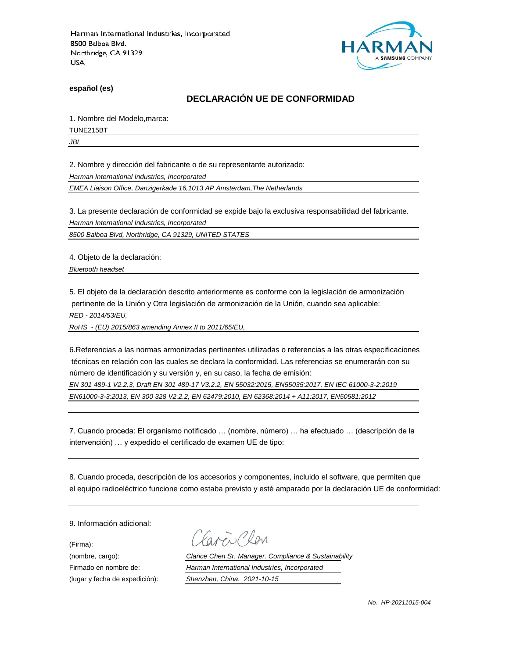

**español (es)**

# **DECLARACIÓN UE DE CONFORMIDAD**

1. Nombre del Modelo,marca:

TUNE215BT

*JBL*

2. Nombre y dirección del fabricante o de su representante autorizado:

*Harman International Industries, Incorporated*

*EMEA Liaison Office, Danzigerkade 16,1013 AP Amsterdam,The Netherlands*

3. La presente declaración de conformidad se expide bajo la exclusiva responsabilidad del fabricante.

*Harman International Industries, Incorporated*

*8500 Balboa Blvd, Northridge, CA 91329, UNITED STATES*

4. Objeto de la declaración:

*Bluetooth headset*

5. El objeto de la declaración descrito anteriormente es conforme con la legislación de armonización pertinente de la Unión y Otra legislación de armonización de la Unión, cuando sea aplicable:

*RED - 2014/53/EU,*

*RoHS - (EU) 2015/863 amending Annex II to 2011/65/EU,*

6.Referencias a las normas armonizadas pertinentes utilizadas o referencias a las otras especificaciones técnicas en relación con las cuales se declara la conformidad. Las referencias se enumerarán con su número de identificación y su versión y, en su caso, la fecha de emisión:

*EN 301 489-1 V2.2.3, Draft EN 301 489-17 V3.2.2, EN 55032:2015, EN55035:2017, EN IEC 61000-3-2:2019 EN61000-3-3:2013, EN 300 328 V2.2.2, EN 62479:2010, EN 62368:2014 + A11:2017, EN50581:2012* 

7. Cuando proceda: El organismo notificado … (nombre, número) … ha efectuado … (descripción de la intervención) … y expedido el certificado de examen UE de tipo:

8. Cuando proceda, descripción de los accesorios y componentes, incluido el software, que permiten que el equipo radioeléctrico funcione como estaba previsto y esté amparado por la declaración UE de conformidad:

9. Información adicional:

(Firma):

Plen

(nombre, cargo): *Clarice Chen Sr. Manager. Compliance & Sustainability* Firmado en nombre de: *Harman International Industries, Incorporated* (lugar y fecha de expedición): *Shenzhen, China. 2021-10-15*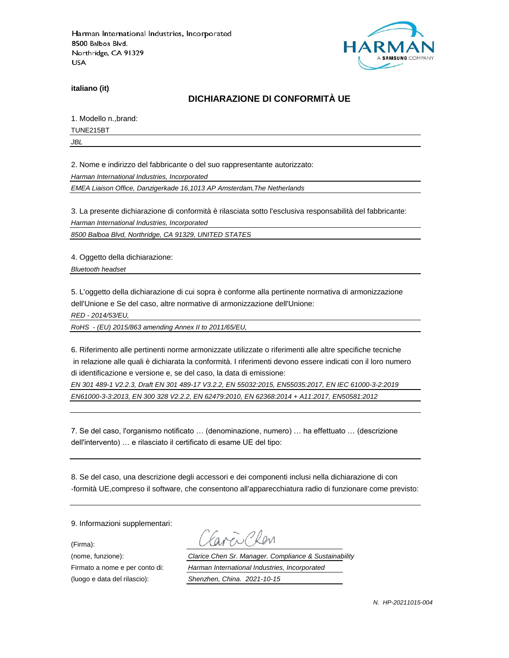

**italiano (it)**

# **DICHIARAZIONE DI CONFORMITÀ UE**

1. Modello n.,brand:

TUNE215BT

*JBL*

2. Nome e indirizzo del fabbricante o del suo rappresentante autorizzato:

*Harman International Industries, Incorporated*

*EMEA Liaison Office, Danzigerkade 16,1013 AP Amsterdam,The Netherlands*

3. La presente dichiarazione di conformità è rilasciata sotto l'esclusiva responsabilità del fabbricante:

*Harman International Industries, Incorporated*

*8500 Balboa Blvd, Northridge, CA 91329, UNITED STATES*

4. Oggetto della dichiarazione:

*Bluetooth headset*

5. L'oggetto della dichiarazione di cui sopra è conforme alla pertinente normativa di armonizzazione dell'Unione e Se del caso, altre normative di armonizzazione dell'Unione:

*RED - 2014/53/EU,*

*RoHS - (EU) 2015/863 amending Annex II to 2011/65/EU,*

6. Riferimento alle pertinenti norme armonizzate utilizzate o riferimenti alle altre specifiche tecniche in relazione alle quali è dichiarata la conformità. I riferimenti devono essere indicati con il loro numero di identificazione e versione e, se del caso, la data di emissione:

*EN 301 489-1 V2.2.3, Draft EN 301 489-17 V3.2.2, EN 55032:2015, EN55035:2017, EN IEC 61000-3-2:2019 EN61000-3-3:2013, EN 300 328 V2.2.2, EN 62479:2010, EN 62368:2014 + A11:2017, EN50581:2012* 

7. Se del caso, l'organismo notificato … (denominazione, numero) … ha effettuato … (descrizione dell'intervento) … e rilasciato il certificato di esame UE del tipo:

8. Se del caso, una descrizione degli accessori e dei componenti inclusi nella dichiarazione di con -formità UE,compreso il software, che consentono all'apparecchiatura radio di funzionare come previsto:

9. Informazioni supplementari:

(Firma):

i Plan

(nome, funzione): *Clarice Chen Sr. Manager. Compliance & Sustainability* Firmato a nome e per conto di: *Harman International Industries, Incorporated* (luogo e data del rilascio): *Shenzhen, China. 2021-10-15*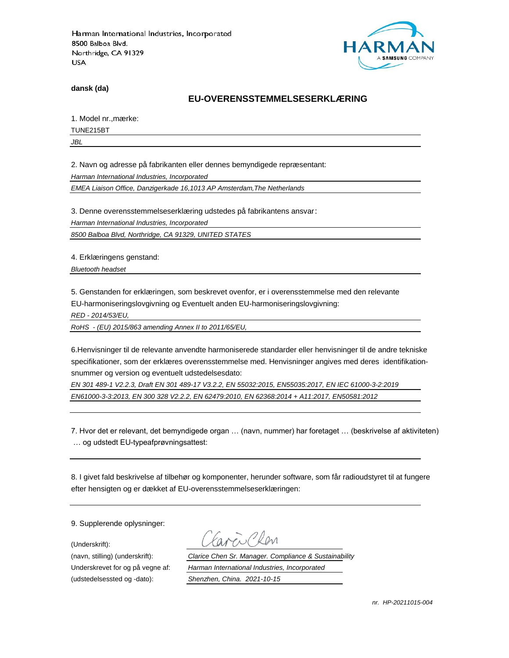

**dansk (da)**

### **EU-OVERENSSTEMMELSESERKLÆ RING**

1. Model nr., mærke:

TUNE215BT

*JBL*

2. Navn og adresse på fabrikanten eller dennes bemyndigede repræ sentant:

*Harman International Industries, Incorporated*

*EMEA Liaison Office, Danzigerkade 16,1013 AP Amsterdam,The Netherlands*

3. Denne overensstemmelseserklæring udstedes på fabrikantens ansvar:

*Harman International Industries, Incorporated*

*8500 Balboa Blvd, Northridge, CA 91329, UNITED STATES*

4. Erklæringens genstand:

*Bluetooth headset*

5. Genstanden for erklæringen, som beskrevet ovenfor, er i overensstemmelse med den relevante EU-harmoniseringslovgivning og Eventuelt anden EU-harmoniseringslovgivning:

*RED - 2014/53/EU,*

*RoHS - (EU) 2015/863 amending Annex II to 2011/65/EU,*

6.Henvisninger til de relevante anvendte harmoniserede standarder eller henvisninger til de andre tekniske specifikationer, som der erklæres overensstemmelse med. Henvisninger angives med deres identifikationsnummer og version og eventuelt udstedelsesdato:

*EN 301 489-1 V2.2.3, Draft EN 301 489-17 V3.2.2, EN 55032:2015, EN55035:2017, EN IEC 61000-3-2:2019 EN61000-3-3:2013, EN 300 328 V2.2.2, EN 62479:2010, EN 62368:2014 + A11:2017, EN50581:2012* 

7. Hvor det er relevant, det bemyndigede organ … (navn, nummer) har foretaget … (beskrivelse af aktiviteten) … og udstedt EU-typeafprøvningsattest:

8. I givet fald beskrivelse af tilbehør og komponenter, herunder software, som får radioudstyret til at fungere efter hensigten og er dækket af EU-overensstemmelseserklæringen:

9. Supplerende oplysninger:

(Underskrift):

(udstedelsessted og -dato): *Shenzhen, China. 2021-10-15*

(navn, stilling) (underskrift): *Clarice Chen Sr. Manager. Compliance & Sustainability* Underskrevet for og på vegne af: *Harman International Industries, Incorporated*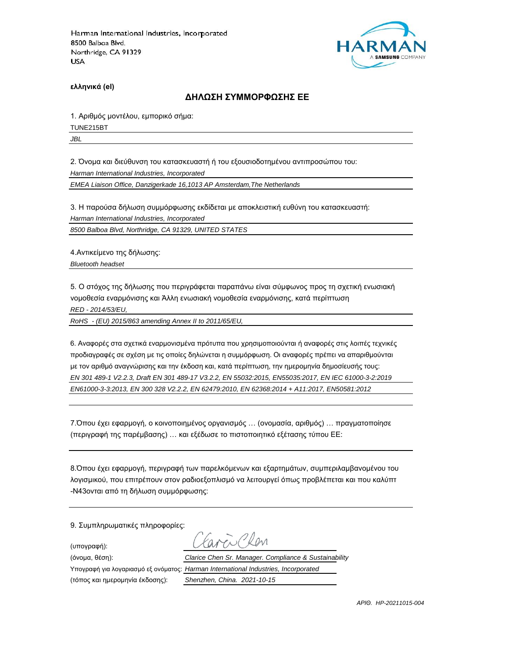

**ελληνικά (el)**

#### **ΔΗΛΩΣΗ ΣΥΜΜΟΡΦΩΣΗΣ ΕΕ**

1. Αριθμός μοντέλου, εμπορικό σήμα:

TUNE215BT

*JBL*

2. Όνομα και διεύθυνση του κατασκευαστή ή του εξουσιοδοτημένου αντιπροσώπου του:

*Harman International Industries, Incorporated*

*EMEA Liaison Office, Danzigerkade 16,1013 AP Amsterdam,The Netherlands*

3. Η παρούσα δήλωση συμμόρφωσης εκδίδεται με αποκλειστική ευθύνη του κατασκευαστή:

*Harman International Industries, Incorporated*

*8500 Balboa Blvd, Northridge, CA 91329, UNITED STATES*

4.Αντικείμενο της δήλωσης:

*Bluetooth headset*

5. Ο στόχος της δήλωσης που περιγράφεται παραπάνω είναι σύμφωνος προς τη σχετική ενωσιακή νομοθεσία εναρμόνισης και Άλλη ενωσιακή νομοθεσία εναρμόνισης, κατά περίπτωση

*RED - 2014/53/EU,*

*RoHS - (EU) 2015/863 amending Annex II to 2011/65/EU,*

6. Αναφορές στα σχετικά εναρμονισμένα πρότυπα που χρησιμοποιούνται ή αναφορές στις λοιπές τεχνικές προδιαγραφές σε σχέση με τις οποίες δηλώνεται η συμμόρφωση. Οι αναφορές πρέπει να απαριθμούνται με τον αριθμό αναγνώρισης και την έκδοση και, κατά περίπτωση, την ημερομηνία δημοσίευσής τους: *EN 301 489-1 V2.2.3, Draft EN 301 489-17 V3.2.2, EN 55032:2015, EN55035:2017, EN IEC 61000-3-2:2019 EN61000-3-3:2013, EN 300 328 V2.2.2, EN 62479:2010, EN 62368:2014 + A11:2017, EN50581:2012* 

7.Όπου έχει εφαρμογή, ο κοινοποιημένος οργανισμός … (ονομασία, αριθμός) … πραγματοποίησε (περιγραφή της παρέμβασης) … και εξέδωσε το πιστοποιητικό εξέτασης τύπου ΕΕ:

8.Όπου έχει εφαρμογή, περιγραφή των παρελκόμενων και εξαρτημάτων, συμπεριλαμβανομένου του λογισμικού, που επιτρέπουν στον ραδιοεξοπλισμό να λειτουργεί όπως προβλέπεται και που καλύπτ -N43ονται από τη δήλωση συμμόρφωσης:

9. Συμπληρωματικές πληροφορίες:

(υπογραφή):

 $R_{\text{N}}$ 

(όνομα, θέση): *Clarice Chen Sr. Manager. Compliance & Sustainability* Υπογραφή για λογαριασμό εξ ονόματος: *Harman International Industries, Incorporated*

(τόπος και ημερομηνία έκδοσης): *Shenzhen, China. 2021-10-15*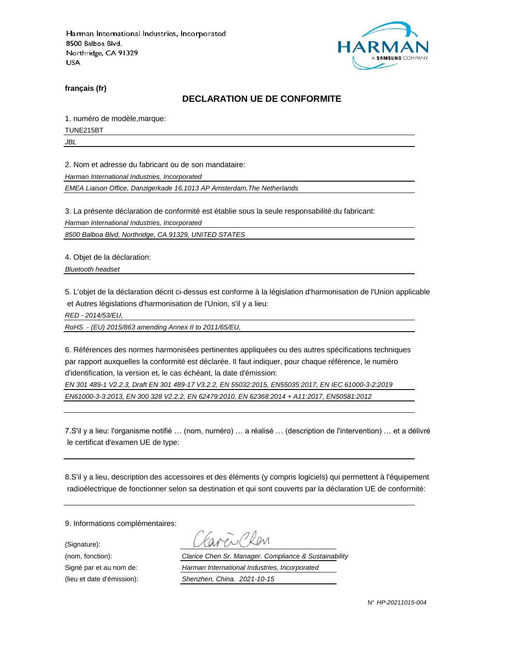

**français (fr)**

### **DECLARATION UE DE CONFORMITE**

1. numéro de modèle,marque:

TUNE215BT

*JBL*

2. Nom et adresse du fabricant ou de son mandataire:

*Harman International Industries, Incorporated*

*EMEA Liaison Office, Danzigerkade 16,1013 AP Amsterdam,The Netherlands*

3. La présente déclaration de conformité est établie sous la seule responsabilité du fabricant:

*Harman International Industries, Incorporated*

*8500 Balboa Blvd, Northridge, CA 91329, UNITED STATES*

4. Objet de la déclaration:

*Bluetooth headset*

5. L'objet de la déclaration décrit ci-dessus est conforme à la législation d'harmonisation de l'Union applicable et Autres législations d'harmonisation de l'Union, s'il y a lieu:

*RED - 2014/53/EU,*

*RoHS - (EU) 2015/863 amending Annex II to 2011/65/EU,*

6. Références des normes harmonisées pertinentes appliquées ou des autres spécifications techniques par rapport auxquelles la conformité est déclarée. Il faut indiquer, pour chaque référence, le numéro d'identification, la version et, le cas échéant, la date d'émission:

*EN 301 489-1 V2.2.3, Draft EN 301 489-17 V3.2.2, EN 55032:2015, EN55035:2017, EN IEC 61000-3-2:2019 EN61000-3-3:2013, EN 300 328 V2.2.2, EN 62479:2010, EN 62368:2014 + A11:2017, EN50581:2012* 

7.S'il y a lieu: l'organisme notifié … (nom, numéro) … a réalisé … (description de l'intervention) … et a délivré le certificat d'examen UE de type:

8.S'il y a lieu, description des accessoires et des éléments (y compris logiciels) qui permettent à l'équipement radioélectrique de fonctionner selon sa destination et qui sont couverts par la déclaration UE de conformité:

9. Informations complémentaires:

(Signature):

(nom, fonction): *Clarice Chen Sr. Manager. Compliance & Sustainability* Signé par et au nom de: *Harman International Industries, Incorporated* (lieu et date d'émission): *Shenzhen, China. 2021-10-15*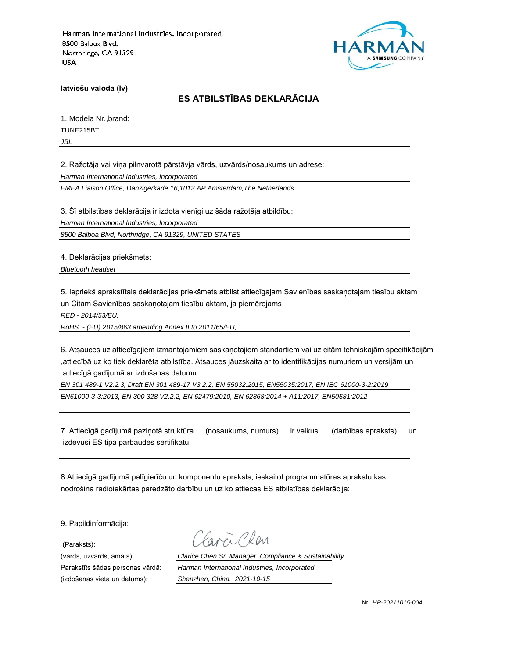

**latviešu valoda (lv)**

# **ES ATBILSTĪBAS DEKLARĀCIJA**

1. Modela Nr.,brand:

TUNE215BT

*JBL*

2. Ražotāja vai viņa pilnvarotā pārstāvja vārds, uzvārds/nosaukums un adrese:

*Harman International Industries, Incorporated*

*EMEA Liaison Office, Danzigerkade 16,1013 AP Amsterdam,The Netherlands*

3. Šī atbilstības deklarācija ir izdota vienīgi uz šāda ražotāja atbildību:

*Harman International Industries, Incorporated*

*8500 Balboa Blvd, Northridge, CA 91329, UNITED STATES*

4. Deklarācijas priekšmets:

*Bluetooth headset*

5. Iepriekš aprakstītais deklarācijas priekšmets atbilst attiecīgajam Savienības saskaņotajam tiesību aktam un Citam Savienības saskaņotajam tiesību aktam, ja piemērojams

*RED - 2014/53/EU,*

*RoHS - (EU) 2015/863 amending Annex II to 2011/65/EU,*

6. Atsauces uz attiecīgajiem izmantojamiem saskaņotajiem standartiem vai uz citām tehniskajām specifikācijām ,attiecībā uz ko tiek deklarēta atbilstība. Atsauces jāuzskaita ar to identifikācijas numuriem un versijām un attiecīgā gadījumā ar izdošanas datumu:

*EN 301 489-1 V2.2.3, Draft EN 301 489-17 V3.2.2, EN 55032:2015, EN55035:2017, EN IEC 61000-3-2:2019 EN61000-3-3:2013, EN 300 328 V2.2.2, EN 62479:2010, EN 62368:2014 + A11:2017, EN50581:2012* 

7. Attiecīgā gadījumā paziņotā struktūra … (nosaukums, numurs) … ir veikusi … (darbības apraksts) … un izdevusi ES tipa pārbaudes sertifikātu:

8.Attiecīgā gadījumā palīgierīču un komponentu apraksts, ieskaitot programmatūras aprakstu,kas nodrošina radioiekārtas paredzēto darbību un uz ko attiecas ES atbilstības deklarācija:

9. Papildinformācija:

(Paraksts):

(vārds, uzvārds, amats): *Clarice Chen Sr. Manager. Compliance & Sustainability* Parakstīts šādas personas vārdā: *Harman International Industries, Incorporated* (izdošanas vieta un datums): *Shenzhen, China. 2021-10-15*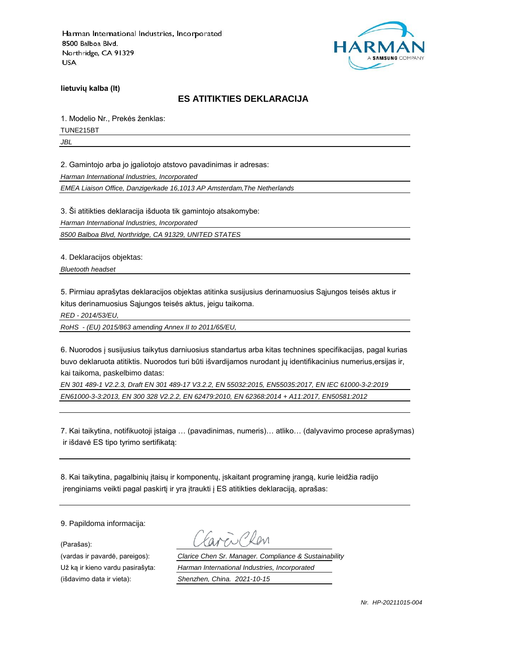

**lietuvių kalba (lt)**

### **ES ATITIKTIES DEKLARACIJA**

1. Modelio Nr., Prekės ženklas:

TUNE215BT

*JBL*

2. Gamintojo arba jo įgaliotojo atstovo pavadinimas ir adresas:

*Harman International Industries, Incorporated*

*EMEA Liaison Office, Danzigerkade 16,1013 AP Amsterdam,The Netherlands*

3. Ši atitikties deklaracija išduota tik gamintojo atsakomybe:

*Harman International Industries, Incorporated*

*8500 Balboa Blvd, Northridge, CA 91329, UNITED STATES*

4. Deklaracijos objektas:

*Bluetooth headset*

5. Pirmiau aprašytas deklaracijos objektas atitinka susijusius derinamuosius Sąjungos teisės aktus ir kitus derinamuosius Sąjungos teisės aktus, jeigu taikoma.

*RED - 2014/53/EU,*

*RoHS - (EU) 2015/863 amending Annex II to 2011/65/EU,*

6. Nuorodos į susijusius taikytus darniuosius standartus arba kitas technines specifikacijas, pagal kurias buvo deklaruota atitiktis. Nuorodos turi būti išvardijamos nurodant jų identifikacinius numerius,ersijas ir, kai taikoma, paskelbimo datas:

*EN 301 489-1 V2.2.3, Draft EN 301 489-17 V3.2.2, EN 55032:2015, EN55035:2017, EN IEC 61000-3-2:2019 EN61000-3-3:2013, EN 300 328 V2.2.2, EN 62479:2010, EN 62368:2014 + A11:2017, EN50581:2012* 

7. Kai taikytina, notifikuotoji įstaiga … (pavadinimas, numeris)… atliko… (dalyvavimo procese aprašymas) ir išdavė ES tipo tyrimo sertifikatą:

8. Kai taikytina, pagalbinių įtaisų ir komponentų, įskaitant programinę įrangą, kurie leidžia radijo įrenginiams veikti pagal paskirtį ir yra įtraukti į ES atitikties deklaraciją, aprašas:

9. Papildoma informacija:

(Parašas):

(išdavimo data ir vieta): *Shenzhen, China. 2021-10-15*

(vardas ir pavardė, pareigos): *Clarice Chen Sr. Manager. Compliance & Sustainability* Už ką ir kieno vardu pasirašyta: *Harman International Industries, Incorporated*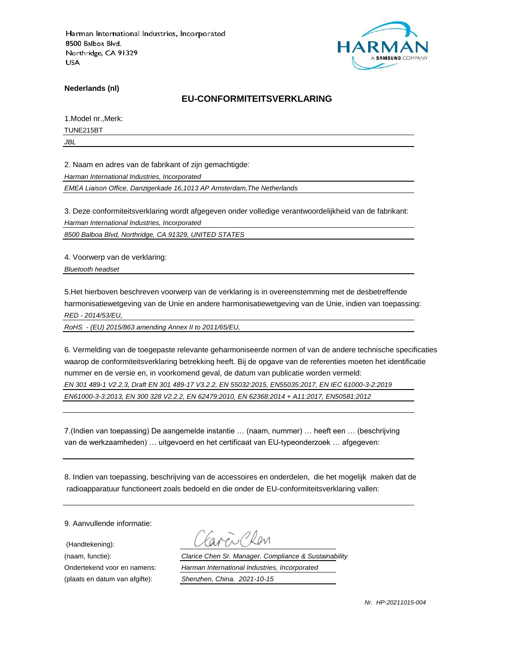

**Nederlands (nl)**

#### **EU-CONFORMITEITSVERKLARING**

1.Model nr.,Merk:

TUNE215BT

*JBL*

2. Naam en adres van de fabrikant of zijn gemachtigde:

*Harman International Industries, Incorporated*

*EMEA Liaison Office, Danzigerkade 16,1013 AP Amsterdam,The Netherlands*

3. Deze conformiteitsverklaring wordt afgegeven onder volledige verantwoordelijkheid van de fabrikant:

*Harman International Industries, Incorporated*

*8500 Balboa Blvd, Northridge, CA 91329, UNITED STATES*

4. Voorwerp van de verklaring:

*Bluetooth headset*

5.Het hierboven beschreven voorwerp van de verklaring is in overeenstemming met de desbetreffende harmonisatiewetgeving van de Unie en andere harmonisatiewetgeving van de Unie, indien van toepassing: *RED - 2014/53/EU,*

*RoHS - (EU) 2015/863 amending Annex II to 2011/65/EU,*

6. Vermelding van de toegepaste relevante geharmoniseerde normen of van de andere technische specificaties waarop de conformiteitsverklaring betrekking heeft. Bij de opgave van de referenties moeten het identificatie nummer en de versie en, in voorkomend geval, de datum van publicatie worden vermeld: *EN 301 489-1 V2.2.3, Draft EN 301 489-17 V3.2.2, EN 55032:2015, EN55035:2017, EN IEC 61000-3-2:2019 EN61000-3-3:2013, EN 300 328 V2.2.2, EN 62479:2010, EN 62368:2014 + A11:2017, EN50581:2012* 

7.(Indien van toepassing) De aangemelde instantie … (naam, nummer) … heeft een … (beschrijving van de werkzaamheden) … uitgevoerd en het certificaat van EU-typeonderzoek … afgegeven:

8. Indien van toepassing, beschrijving van de accessoires en onderdelen, die het mogelijk maken dat de radioapparatuur functioneert zoals bedoeld en die onder de EU-conformiteitsverklaring vallen:

9. Aanvullende informatie:

(Handtekening):

(naam, functie): *Clarice Chen Sr. Manager. Compliance & Sustainability* Ondertekend voor en namens: *Harman International Industries, Incorporated* (plaats en datum van afgifte): *Shenzhen, China. 2021-10-15*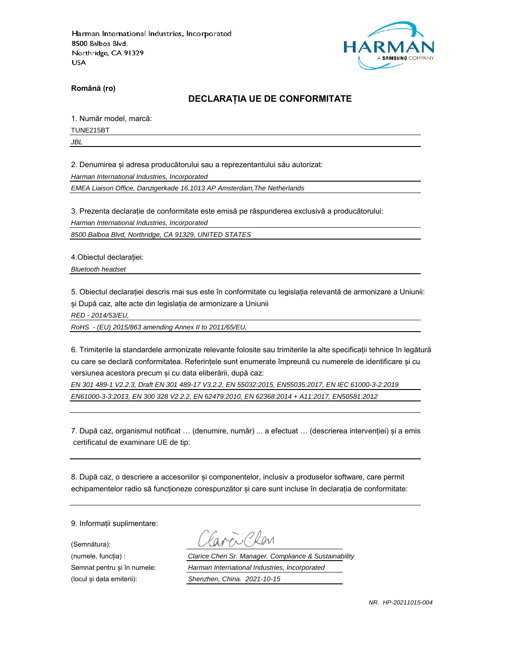

**Română (ro)**

# **DECLARAȚIA UE DE CONFORMITATE**

1. Număr model, marcă:

TUNE215BT

*JBL*

2. Denumirea și adresa producătorului sau a reprezentantului său autorizat:

*Harman International Industries, Incorporated*

*EMEA Liaison Office, Danzigerkade 16,1013 AP Amsterdam,The Netherlands*

3. Prezenta declarație de conformitate este emisă pe răspunderea exclusivă a producătorului:

*Harman International Industries, Incorporated*

*8500 Balboa Blvd, Northridge, CA 91329, UNITED STATES*

4.Obiectul declarației:

*Bluetooth headset*

5. Obiectul declarației descris mai sus este în conformitate cu legislația relevantă de armonizare a Uniunii: și După caz, alte acte din legislația de armonizare a Uniunii

*RED - 2014/53/EU,*

*RoHS - (EU) 2015/863 amending Annex II to 2011/65/EU,*

6. Trimiterile la standardele armonizate relevante folosite sau trimiterile la alte specificații tehnice în legătură cu care se declară conformitatea. Referințele sunt enumerate împreună cu numerele de identificare și cu versiunea acestora precum și cu data eliberării, după caz:

*EN 301 489-1 V2.2.3, Draft EN 301 489-17 V3.2.2, EN 55032:2015, EN55035:2017, EN IEC 61000-3-2:2019 EN61000-3-3:2013, EN 300 328 V2.2.2, EN 62479:2010, EN 62368:2014 + A11:2017, EN50581:2012* 

7. După caz, organismul notificat … (denumire, număr) ... a efectuat … (descrierea intervenției) și a emis certificatul de examinare UE de tip:

8. După caz, o descriere a accesoriilor și componentelor, inclusiv a produselor software, care permit echipamentelor radio să funcționeze corespunzător și care sunt incluse în declarația de conformitate:

9. Informații suplimentare:

(Semnătura):

(numele, funcția) : *Clarice Chen Sr. Manager. Compliance & Sustainability* Semnat pentru și în numele: *Harman International Industries, Incorporated* (locul și data emiterii): *Shenzhen, China. 2021-10-15*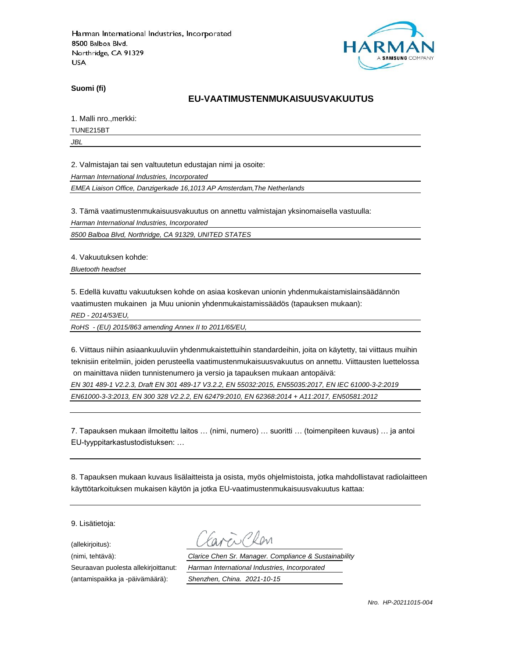

**Suomi (fi)**

### **EU-VAATIMUSTENMUKAISUUSVAKUUTUS**

1. Malli nro.,merkki:

TUNE215BT

*JBL*

2. Valmistajan tai sen valtuutetun edustajan nimi ja osoite:

*Harman International Industries, Incorporated*

*EMEA Liaison Office, Danzigerkade 16,1013 AP Amsterdam,The Netherlands*

3. Tämä vaatimustenmukaisuusvakuutus on annettu valmistajan yksinomaisella vastuulla:

*Harman International Industries, Incorporated*

*8500 Balboa Blvd, Northridge, CA 91329, UNITED STATES*

4. Vakuutuksen kohde:

*Bluetooth headset*

5. Edellä kuvattu vakuutuksen kohde on asiaa koskevan unionin yhdenmukaistamislainsäädännön vaatimusten mukainen ja Muu unionin yhdenmukaistamissäädös (tapauksen mukaan):

*RED - 2014/53/EU,*

*RoHS - (EU) 2015/863 amending Annex II to 2011/65/EU,*

6. Viittaus niihin asiaankuuluviin yhdenmukaistettuihin standardeihin, joita on käytetty, tai viittaus muihin teknisiin eritelmiin, joiden perusteella vaatimustenmukaisuusvakuutus on annettu. Viittausten luettelossa on mainittava niiden tunnistenumero ja versio ja tapauksen mukaan antopäivä:

*EN 301 489-1 V2.2.3, Draft EN 301 489-17 V3.2.2, EN 55032:2015, EN55035:2017, EN IEC 61000-3-2:2019 EN61000-3-3:2013, EN 300 328 V2.2.2, EN 62479:2010, EN 62368:2014 + A11:2017, EN50581:2012* 

7. Tapauksen mukaan ilmoitettu laitos … (nimi, numero) … suoritti … (toimenpiteen kuvaus) … ja antoi EU-tyyppitarkastustodistuksen: …

8. Tapauksen mukaan kuvaus lisälaitteista ja osista, myös ohjelmistoista, jotka mahdollistavat radiolaitteen käyttötarkoituksen mukaisen käytön ja jotka EU-vaatimustenmukaisuusvakuutus kattaa:

9. Lisätietoja:

(allekirjoitus):

(antamispaikka ja -päivämäärä): *Shenzhen, China. 2021-10-15*

(nimi, tehtävä): *Clarice Chen Sr. Manager. Compliance & Sustainability* Seuraavan puolesta allekirjoittanut: *Harman International Industries, Incorporated*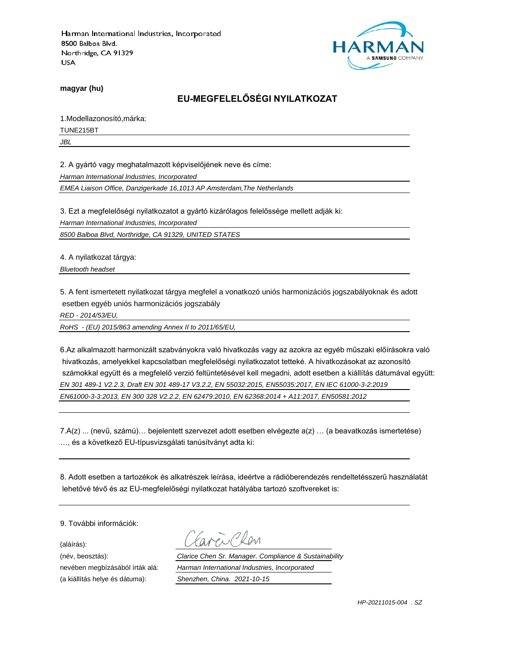

**magyar (hu)**

# **EU-MEGFELELŐSÉGI NYILATKOZAT**

1.Modellazonosító,márka:

TUNE215BT

*JBL*

2. A gyártó vagy meghatalmazott képviselőjének neve és címe:

*Harman International Industries, Incorporated*

*EMEA Liaison Office, Danzigerkade 16,1013 AP Amsterdam,The Netherlands*

3. Ezt a megfelelőségi nyilatkozatot a gyártó kizárólagos felelőssége mellett adják ki:

*Harman International Industries, Incorporated*

*8500 Balboa Blvd, Northridge, CA 91329, UNITED STATES*

4. A nyilatkozat tárgya:

*Bluetooth headset*

5. A fent ismertetett nyilatkozat tárgya megfelel a vonatkozó uniós harmonizációs jogszabályoknak és adott esetben egyéb uniós harmonizációs jogszabály

*RED - 2014/53/EU,*

*RoHS - (EU) 2015/863 amending Annex II to 2011/65/EU,*

6.Az alkalmazott harmonizált szabványokra való hivatkozás vagy az azokra az egyéb műszaki előírásokra való hivatkozás, amelyekkel kapcsolatban megfelelőségi nyilatkozatot tetteké. A hivatkozásokat az azonosító számokkal együtt és a megfelelő verzió feltüntetésével kell megadni, adott esetben a kiállítás dátumával együtt: *EN 301 489-1 V2.2.3, Draft EN 301 489-17 V3.2.2, EN 55032:2015, EN55035:2017, EN IEC 61000-3-2:2019 EN61000-3-3:2013, EN 300 328 V2.2.2, EN 62479:2010, EN 62368:2014 + A11:2017, EN50581:2012* 

7.A(z) ... (nevű, számú)… bejelentett szervezet adott esetben elvégezte a(z) … (a beavatkozás ismertetése) …, és a következő EU-típusvizsgálati tanúsítványt adta ki:

8. Adott esetben a tartozékok és alkatrészek leírása, ideértve a rádióberendezés rendeltetésszerű használatát lehetővé tévő és az EU-megfelelőségi nyilatkozat hatályába tartozó szoftvereket is:

9. További információk:

(aláírás):

(a kiállítás helye és dátuma): *Shenzhen, China. 2021-10-15*

(név, beosztás): *Clarice Chen Sr. Manager. Compliance & Sustainability* nevében megbízásából írták alá: *Harman International Industries, Incorporated*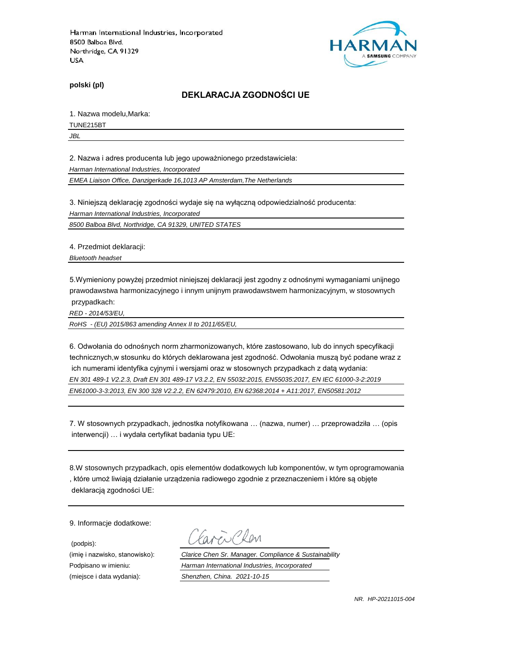

**polski (pl)**

#### **DEKLARACJA ZGODNOŚCI UE**

1. Nazwa modelu,Marka:

TUNE215BT

*JBL*

2. Nazwa i adres producenta lub jego upoważnionego przedstawiciela:

*Harman International Industries, Incorporated*

*EMEA Liaison Office, Danzigerkade 16,1013 AP Amsterdam,The Netherlands*

3. Niniejszą deklarację zgodności wydaje się na wyłączną odpowiedzialność producenta:

*Harman International Industries, Incorporated*

*8500 Balboa Blvd, Northridge, CA 91329, UNITED STATES*

4. Przedmiot deklaracji:

*Bluetooth headset*

5.Wymieniony powyżej przedmiot niniejszej deklaracji jest zgodny z odnośnymi wymaganiami unijnego prawodawstwa harmonizacyjnego i innym unijnym prawodawstwem harmonizacyjnym, w stosownych przypadkach:

*RED - 2014/53/EU,*

*RoHS - (EU) 2015/863 amending Annex II to 2011/65/EU,*

6. Odwołania do odnośnych norm zharmonizowanych, które zastosowano, lub do innych specyfikacji technicznych,w stosunku do których deklarowana jest zgodność. Odwołania muszą być podane wraz z ich numerami identyfika cyjnymi i wersjami oraz w stosownych przypadkach z datą wydania: *EN 301 489-1 V2.2.3, Draft EN 301 489-17 V3.2.2, EN 55032:2015, EN55035:2017, EN IEC 61000-3-2:2019 EN61000-3-3:2013, EN 300 328 V2.2.2, EN 62479:2010, EN 62368:2014 + A11:2017, EN50581:2012* 

7. W stosownych przypadkach, jednostka notyfikowana … (nazwa, numer) … przeprowadziła … (opis interwencji) … i wydała certyfikat badania typu UE:

8.W stosownych przypadkach, opis elementów dodatkowych lub komponentów, w tym oprogramowania , które umoż liwiają działanie urządzenia radiowego zgodnie z przeznaczeniem i które są objęte deklaracją zgodności UE:

9. Informacje dodatkowe:

(podpis):

 $\sum_{\ell}$ 

(imię i nazwisko, stanowisko): *Clarice Chen Sr. Manager. Compliance & Sustainability* Podpisano w imieniu: *Harman International Industries, Incorporated* (miejsce i data wydania): *Shenzhen, China. 2021-10-15*

*NR. HP-20211015-004*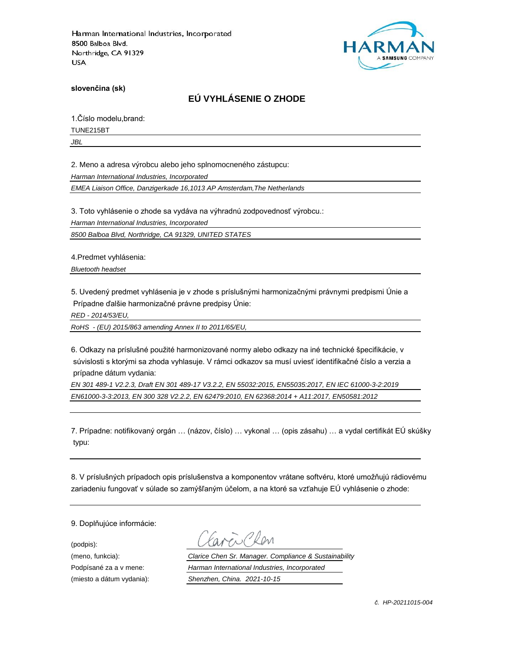

**slovenčina (sk)**

# **EÚ VYHLÁSENIE O ZHODE**

1.Číslo modelu,brand:

TUNE215BT

*JBL*

2. Meno a adresa výrobcu alebo jeho splnomocneného zástupcu:

*Harman International Industries, Incorporated*

*EMEA Liaison Office, Danzigerkade 16,1013 AP Amsterdam,The Netherlands*

3. Toto vyhlásenie o zhode sa vydáva na výhradnú zodpovednosť výrobcu.:

*Harman International Industries, Incorporated*

*8500 Balboa Blvd, Northridge, CA 91329, UNITED STATES*

4.Predmet vyhlásenia:

*Bluetooth headset*

5. Uvedený predmet vyhlásenia je v zhode s príslušnými harmonizačnými právnymi predpismi Únie a Prípadne ďalšie harmonizačné právne predpisy Únie:

*RED - 2014/53/EU,*

*RoHS - (EU) 2015/863 amending Annex II to 2011/65/EU,*

6. Odkazy na príslušné použité harmonizované normy alebo odkazy na iné technické špecifikácie, v súvislosti s ktorými sa zhoda vyhlasuje. V rámci odkazov sa musí uviesť identifikačné číslo a verzia a prípadne dátum vydania:

*EN 301 489-1 V2.2.3, Draft EN 301 489-17 V3.2.2, EN 55032:2015, EN55035:2017, EN IEC 61000-3-2:2019 EN61000-3-3:2013, EN 300 328 V2.2.2, EN 62479:2010, EN 62368:2014 + A11:2017, EN50581:2012* 

7. Prípadne: notifikovaný orgán … (názov, číslo) … vykonal … (opis zásahu) … a vydal certifikát EÚ skúšky typu:

8. V príslušných prípadoch opis príslušenstva a komponentov vrátane softvéru, ktoré umožňujú rádiovému zariadeniu fungovať v súlade so zamýšľaným účelom, a na ktoré sa vzťahuje EÚ vyhlásenie o zhode:

9. Doplňujúce informácie:

(podpis):

(meno, funkcia): *Clarice Chen Sr. Manager. Compliance & Sustainability* Podpísané za a v mene: *Harman International Industries, Incorporated* (miesto a dátum vydania): *Shenzhen, China. 2021-10-15*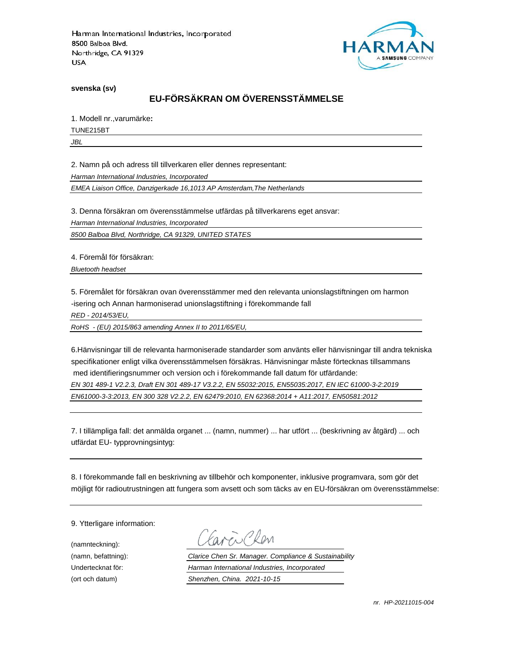

**svenska (sv)**

# **EU-FÖRSÄKRAN OM ÖVERENSSTÄMMELSE**

1. Modell nr.,varumärke**:**

TUNE215BT

*JBL*

2. Namn på och adress till tillverkaren eller dennes representant:

*Harman International Industries, Incorporated*

*EMEA Liaison Office, Danzigerkade 16,1013 AP Amsterdam,The Netherlands*

3. Denna försäkran om överensstämmelse utfärdas på tillverkarens eget ansvar:

*Harman International Industries, Incorporated*

*8500 Balboa Blvd, Northridge, CA 91329, UNITED STATES*

4. Föremål för försäkran:

*Bluetooth headset*

5. Föremålet för försäkran ovan överensstämmer med den relevanta unionslagstiftningen om harmon -isering och Annan harmoniserad unionslagstiftning i förekommande fall

*RED - 2014/53/EU,*

*RoHS - (EU) 2015/863 amending Annex II to 2011/65/EU,*

6.Hänvisningar till de relevanta harmoniserade standarder som använts eller hänvisningar till andra tekniska specifikationer enligt vilka överensstämmelsen försäkras. Hänvisningar måste förtecknas tillsammans med identifieringsnummer och version och i förekommande fall datum för utfärdande:

*EN 301 489-1 V2.2.3, Draft EN 301 489-17 V3.2.2, EN 55032:2015, EN55035:2017, EN IEC 61000-3-2:2019 EN61000-3-3:2013, EN 300 328 V2.2.2, EN 62479:2010, EN 62368:2014 + A11:2017, EN50581:2012* 

7. I tillämpliga fall: det anmälda organet ... (namn, nummer) ... har utfört ... (beskrivning av åtgärd) ... och utfärdat EU- typprovningsintyg:

8. I förekommande fall en beskrivning av tillbehör och komponenter, inklusive programvara, som gör det möjligt för radioutrustningen att fungera som avsett och som täcks av en EU-försäkran om överensstämmelse:

9. Ytterligare information:

(namnteckning):

EN Plen

(namn, befattning): *Clarice Chen Sr. Manager. Compliance & Sustainability* Undertecknat för: *Harman International Industries, Incorporated* (ort och datum) *Shenzhen, China. 2021-10-15*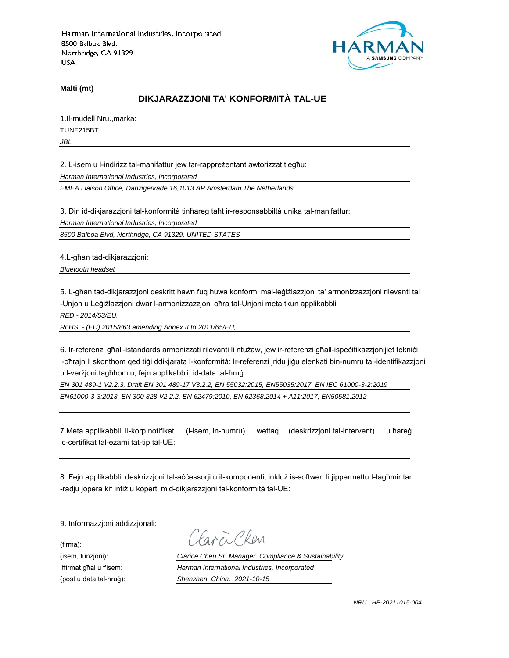

**Malti (mt)**

# **DIKJARAZZJONI TA' KONFORMITÀ TAL-UE**

1.Il-mudell Nru.,marka: TUNE215BT

*JBL*

2. L-isem u l-indirizz tal-manifattur jew tar-rappreżentant awtorizzat tiegħu:

*Harman International Industries, Incorporated*

*EMEA Liaison Office, Danzigerkade 16,1013 AP Amsterdam,The Netherlands*

3. Din id-dikjarazzjoni tal-konformità tinħareg taħt ir-responsabbiltà unika tal-manifattur:

*Harman International Industries, Incorporated*

*8500 Balboa Blvd, Northridge, CA 91329, UNITED STATES*

4.L-għan tad-dikjarazzjoni:

*Bluetooth headset*

5. L-għan tad-dikjarazzjoni deskritt hawn fuq huwa konformi mal-leġiżlazzjoni ta' armonizzazzjoni rilevanti tal -Unjon u Leġiżlazzjoni dwar l-armonizzazzjoni oħra tal-Unjoni meta tkun applikabbli

*RED - 2014/53/EU,*

*RoHS - (EU) 2015/863 amending Annex II to 2011/65/EU,*

6. Ir-referenzi għall-istandards armonizzati rilevanti li ntużaw, jew ir-referenzi għall-ispeċifikazzjonijiet tekniċi l-oħrajn li skonthom qed tiġi ddikjarata l-konformità: Ir-referenzi jridu jiġu elenkati bin-numru tal-identifikazzjoni u l-verżjoni tagħhom u, fejn applikabbli, id-data tal-ħruġ:

*EN 301 489-1 V2.2.3, Draft EN 301 489-17 V3.2.2, EN 55032:2015, EN55035:2017, EN IEC 61000-3-2:2019 EN61000-3-3:2013, EN 300 328 V2.2.2, EN 62479:2010, EN 62368:2014 + A11:2017, EN50581:2012* 

7.Meta applikabbli, il-korp notifikat … (l-isem, in-numru) … wettaq… (deskrizzjoni tal-intervent) … u ħareġ iċ-ċertifikat tal-eżami tat-tip tal-UE:

8. Fejn applikabbli, deskrizzjoni tal-aċċessorji u il-komponenti, inkluż is-softwer, li jippermettu t-tagħmir tar -radju jopera kif intiż u koperti mid-dikjarazzjoni tal-konformità tal-UE:

9. Informazzjoni addizzjonali:

(firma):

EN CROM

(isem, funzjoni): *Clarice Chen Sr. Manager. Compliance & Sustainability* Iffirmat għal u f'isem: *Harman International Industries, Incorporated* (post u data tal-ħruġ): *Shenzhen, China. 2021-10-15*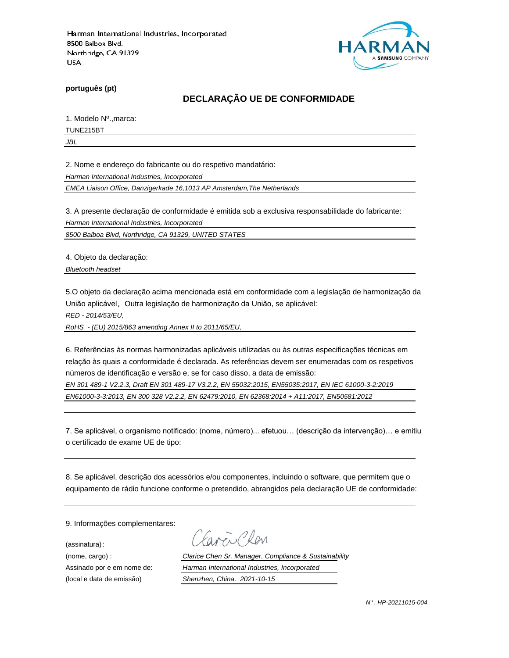

**português (pt)**

# **DECLARAÇÃO UE DE CONFORMIDADE**

1. Modelo Nº.,marca:

TUNE215BT

*JBL*

2. Nome e endereço do fabricante ou do respetivo mandatário:

*Harman International Industries, Incorporated*

*EMEA Liaison Office, Danzigerkade 16,1013 AP Amsterdam,The Netherlands*

3. A presente declaração de conformidade é emitida sob a exclusiva responsabilidade do fabricante:

*Harman International Industries, Incorporated*

*8500 Balboa Blvd, Northridge, CA 91329, UNITED STATES*

4. Objeto da declaração:

*Bluetooth headset*

5.O objeto da declaração acima mencionada está em conformidade com a legislação de harmonização da União aplicável, Outra legislação de harmonização da União, se aplicável:

*RED - 2014/53/EU,*

*RoHS - (EU) 2015/863 amending Annex II to 2011/65/EU,*

6. Referências às normas harmonizadas aplicáveis utilizadas ou às outras especificações técnicas em relação às quais a conformidade é declarada. As referências devem ser enumeradas com os respetivos números de identificação e versão e, se for caso disso, a data de emissão:

*EN 301 489-1 V2.2.3, Draft EN 301 489-17 V3.2.2, EN 55032:2015, EN55035:2017, EN IEC 61000-3-2:2019 EN61000-3-3:2013, EN 300 328 V2.2.2, EN 62479:2010, EN 62368:2014 + A11:2017, EN50581:2012* 

7. Se aplicável, o organismo notificado: (nome, número)... efetuou… (descrição da intervenção)… e emitiu o certificado de exame UE de tipo:

8. Se aplicável, descrição dos acessórios e/ou componentes, incluindo o software, que permitem que o equipamento de rádio funcione conforme o pretendido, abrangidos pela declaração UE de conformidade:

9. Informações complementares:

(assinatura):

Chen

(nome, cargo) : *Clarice Chen Sr. Manager. Compliance & Sustainability* Assinado por e em nome de: *Harman International Industries, Incorporated* (local e data de emissão) *Shenzhen, China. 2021-10-15*